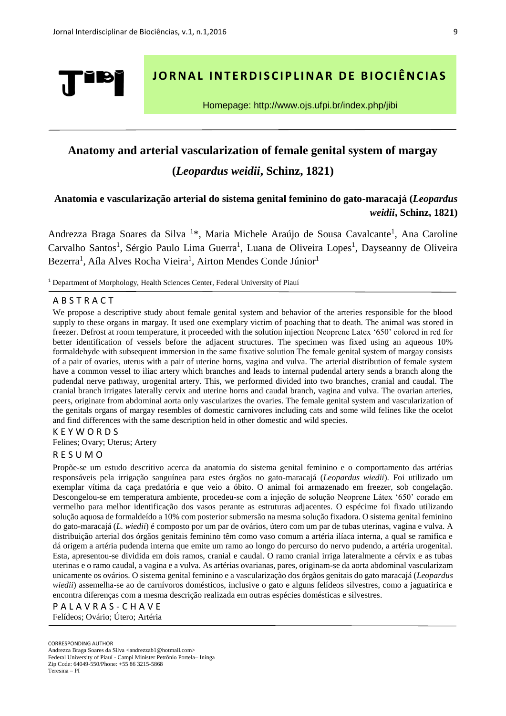

# **JORNAL INTERDISCIPLINAR DE BIOCIÊNCIAS**

Homepage: http://www.ojs.ufpi.br/index.php/jibi

# **Anatomy and arterial vascularization of female genital system of margay (***Leopardus weidii***, Schinz, 1821)**

# **Anatomia e vascularização arterial do sistema genital feminino do gato-maracajá (***Leopardus weidii***, Schinz, 1821)**

Andrezza Braga Soares da Silva<sup>1\*</sup>, Maria Michele Araújo de Sousa Cavalcante<sup>1</sup>, Ana Caroline Carvalho Santos<sup>1</sup>, Sérgio Paulo Lima Guerra<sup>1</sup>, Luana de Oliveira Lopes<sup>1</sup>, Dayseanny de Oliveira Bezerra<sup>1</sup>, Aíla Alves Rocha Vieira<sup>1</sup>, Airton Mendes Conde Júnior<sup>1</sup>

<sup>1</sup> Department of Morphology, Health Sciences Center, Federal University of Piauí

## A B S T R A C T

We propose a descriptive study about female genital system and behavior of the arteries responsible for the blood supply to these organs in margay. It used one exemplary victim of poaching that to death. The animal was stored in freezer. Defrost at room temperature, it proceeded with the solution injection Neoprene Latex '650' colored in red for better identification of vessels before the adjacent structures. The specimen was fixed using an aqueous 10% formaldehyde with subsequent immersion in the same fixative solution The female genital system of margay consists of a pair of ovaries, uterus with a pair of uterine horns, vagina and vulva. The arterial distribution of female system have a common vessel to iliac artery which branches and leads to internal pudendal artery sends a branch along the pudendal nerve pathway, urogenital artery. This, we performed divided into two branches, cranial and caudal. The cranial branch irrigates laterally cervix and uterine horns and caudal branch, vagina and vulva. The ovarian arteries, peers, originate from abdominal aorta only vascularizes the ovaries. The female genital system and vascularization of the genitals organs of margay resembles of domestic carnivores including cats and some wild felines like the ocelot and find differences with the same description held in other domestic and wild species.

# K E Y W O R D S

Felines; Ovary; Uterus; Artery

## R E S U M O

Propõe-se um estudo descritivo acerca da anatomia do sistema genital feminino e o comportamento das artérias responsáveis pela irrigação sanguínea para estes órgãos no gato-maracajá (*Leopardus wiedii*). Foi utilizado um exemplar vítima da caça predatória e que veio a óbito. O animal foi armazenado em freezer, sob congelação. Descongelou-se em temperatura ambiente, procedeu-se com a injeção de solução Neoprene Látex '650' corado em vermelho para melhor identificação dos vasos perante as estruturas adjacentes. O espécime foi fixado utilizando solução aquosa de formaldeído a 10% com posterior submersão na mesma solução fixadora. O sistema genital feminino do gato-maracajá (*L. wiedii*) é composto por um par de ovários, útero com um par de tubas uterinas, vagina e vulva. A distribuição arterial dos órgãos genitais feminino têm como vaso comum a artéria ilíaca interna, a qual se ramifica e dá origem a artéria pudenda interna que emite um ramo ao longo do percurso do nervo pudendo, a artéria urogenital. Esta, apresentou-se dividida em dois ramos, cranial e caudal. O ramo cranial irriga lateralmente a cérvix e as tubas uterinas e o ramo caudal, a vagina e a vulva. As artérias ovarianas, pares, originam-se da aorta abdominal vascularizam unicamente os ovários. O sistema genital feminino e a vascularização dos órgãos genitais do gato maracajá (*Leopardus wiedii*) assemelha-se ao de carnívoros domésticos, inclusive o gato e alguns felídeos silvestres, como a jaguatirica e encontra diferenças com a mesma descrição realizada em outras espécies domésticas e silvestres.

P A L A V R A S - C H A V E Felídeos; Ovário; Útero; Artéria

CORRESPONDING AUTHOR

Andrezza Braga Soares da Silva <andrezzab1@hotmail.com> Federal University of Piauí - Campi Minister Petrônio Portela– Ininga Zip Code: 64049-550/Phone: +55 86 3215-5868 Teresina – PI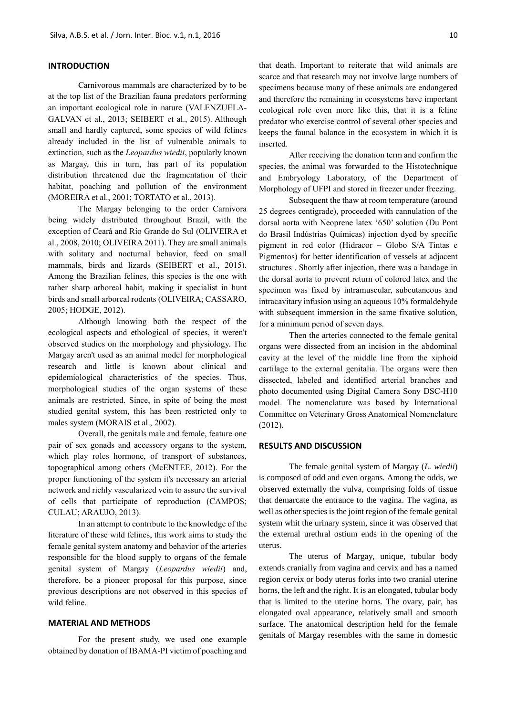### **INTRODUCTION**

Carnivorous mammals are characterized by to be at the top list of the Brazilian fauna predators performing an important ecological role in nature (VALENZUELA-GALVAN et al., 2013; SEIBERT et al., 2015). Although small and hardly captured, some species of wild felines already included in the list of vulnerable animals to extinction, such as the *Leopardus wiedii*, popularly known as Margay, this in turn, has part of its population distribution threatened due the fragmentation of their habitat, poaching and pollution of the environment (MOREIRA et al., 2001; TORTATO et al., 2013).

The Margay belonging to the order Carnivora being widely distributed throughout Brazil, with the exception of Ceará and Rio Grande do Sul (OLIVEIRA et al., 2008, 2010; OLIVEIRA 2011). They are small animals with solitary and nocturnal behavior, feed on small mammals, birds and lizards (SEIBERT et al., 2015). Among the Brazilian felines, this species is the one with rather sharp arboreal habit, making it specialist in hunt birds and small arboreal rodents (OLIVEIRA; CASSARO, 2005; HODGE, 2012).

Although knowing both the respect of the ecological aspects and ethological of species, it weren't observed studies on the morphology and physiology. The Margay aren't used as an animal model for morphological research and little is known about clinical and epidemiological characteristics of the species. Thus, morphological studies of the organ systems of these animals are restricted. Since, in spite of being the most studied genital system, this has been restricted only to males system (MORAIS et al., 2002).

Overall, the genitals male and female, feature one pair of sex gonads and accessory organs to the system, which play roles hormone, of transport of substances, topographical among others (McENTEE, 2012). For the proper functioning of the system it's necessary an arterial network and richly vascularized vein to assure the survival of cells that participate of reproduction (CAMPOS; CULAU; ARAUJO, 2013).

In an attempt to contribute to the knowledge of the literature of these wild felines, this work aims to study the female genital system anatomy and behavior of the arteries responsible for the blood supply to organs of the female genital system of Margay (*Leopardus wiedii*) and, therefore, be a pioneer proposal for this purpose, since previous descriptions are not observed in this species of wild feline.

#### **MATERIAL AND METHODS**

For the present study, we used one example obtained by donation of IBAMA-PI victim of poaching and that death. Important to reiterate that wild animals are scarce and that research may not involve large numbers of specimens because many of these animals are endangered and therefore the remaining in ecosystems have important ecological role even more like this, that it is a feline predator who exercise control of several other species and keeps the faunal balance in the ecosystem in which it is inserted.

After receiving the donation term and confirm the species, the animal was forwarded to the Histotechnique and Embryology Laboratory, of the Department of Morphology of UFPI and stored in freezer under freezing.

Subsequent the thaw at room temperature (around 25 degrees centigrade), proceeded with cannulation of the dorsal aorta with Neoprene latex '650' solution (Du Pont do Brasil Indústrias Químicas) injection dyed by specific pigment in red color (Hidracor – Globo S/A Tintas e Pigmentos) for better identification of vessels at adjacent structures . Shortly after injection, there was a bandage in the dorsal aorta to prevent return of colored latex and the specimen was fixed by intramuscular, subcutaneous and intracavitary infusion using an aqueous 10% formaldehyde with subsequent immersion in the same fixative solution, for a minimum period of seven days.

Then the arteries connected to the female genital organs were dissected from an incision in the abdominal cavity at the level of the middle line from the xiphoid cartilage to the external genitalia. The organs were then dissected, labeled and identified arterial branches and photo documented using Digital Camera Sony DSC-H10 model. The nomenclature was based by International Committee on Veterinary Gross Anatomical Nomenclature (2012).

#### **RESULTS AND DISCUSSION**

The female genital system of Margay (*L. wiedii*) is composed of odd and even organs. Among the odds, we observed externally the vulva, comprising folds of tissue that demarcate the entrance to the vagina. The vagina, as well as other species is the joint region of the female genital system whit the urinary system, since it was observed that the external urethral ostium ends in the opening of the uterus.

The uterus of Margay, unique, tubular body extends cranially from vagina and cervix and has a named region cervix or body uterus forks into two cranial uterine horns, the left and the right. It is an elongated, tubular body that is limited to the uterine horns. The ovary, pair, has elongated oval appearance, relatively small and smooth surface. The anatomical description held for the female genitals of Margay resembles with the same in domestic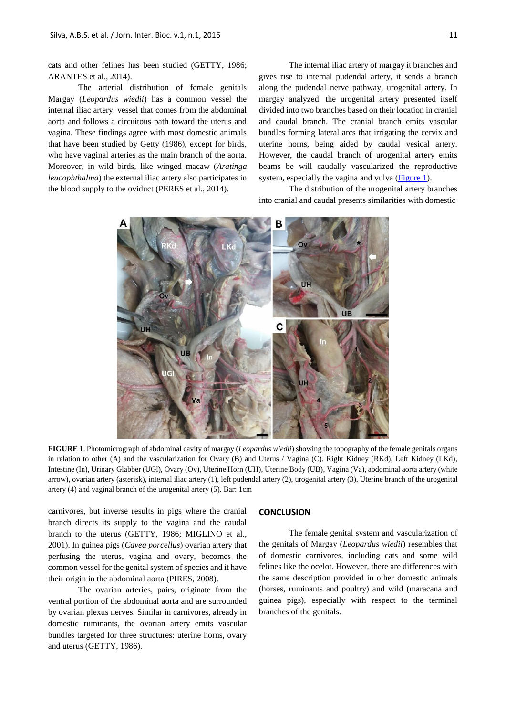cats and other felines has been studied (GETTY, 1986; ARANTES et al., 2014).

The arterial distribution of female genitals Margay (*Leopardus wiedii*) has a common vessel the internal iliac artery, vessel that comes from the abdominal aorta and follows a circuitous path toward the uterus and vagina. These findings agree with most domestic animals that have been studied by Getty (1986), except for birds, who have vaginal arteries as the main branch of the aorta. Moreover, in wild birds, like winged macaw (*Aratinga leucophthalma*) the external iliac artery also participates in the blood supply to the oviduct (PERES et al., 2014).

The internal iliac artery of margay it branches and gives rise to internal pudendal artery, it sends a branch along the pudendal nerve pathway, urogenital artery. In margay analyzed, the urogenital artery presented itself divided into two branches based on their location in cranial and caudal branch. The cranial branch emits vascular bundles forming lateral arcs that irrigating the cervix and uterine horns, being aided by caudal vesical artery. However, the caudal branch of urogenital artery emits beams be will caudally vascularized the reproductive system, especially the vagina and vulva [\(Figure 1\)](#page-2-0).

The distribution of the urogenital artery branches into cranial and caudal presents similarities with domestic

<span id="page-2-0"></span>

**FIGURE 1**. Photomicrograph of abdominal cavity of margay (*Leopardus wiedii*) showing the topography of the female genitals organs in relation to other (A) and the vascularization for Ovary (B) and Uterus / Vagina (C). Right Kidney (RKd), Left Kidney (LKd), Intestine (In), Urinary Glabber (UGl), Ovary (Ov), Uterine Horn (UH), Uterine Body (UB), Vagina (Va), abdominal aorta artery (white arrow), ovarian artery (asterisk), internal iliac artery (1), left pudendal artery (2), urogenital artery (3), Uterine branch of the urogenital artery (4) and vaginal branch of the urogenital artery (5). Bar: 1cm

carnivores, but inverse results in pigs where the cranial branch directs its supply to the vagina and the caudal branch to the uterus (GETTY, 1986; MIGLINO et al., 2001). In guinea pigs (*Cavea porcellus*) ovarian artery that perfusing the uterus, vagina and ovary, becomes the common vessel for the genital system of species and it have their origin in the abdominal aorta (PIRES, 2008).

The ovarian arteries, pairs, originate from the ventral portion of the abdominal aorta and are surrounded by ovarian plexus nerves. Similar in carnivores, already in domestic ruminants, the ovarian artery emits vascular bundles targeted for three structures: uterine horns, ovary and uterus (GETTY, 1986).

#### **CONCLUSION**

The female genital system and vascularization of the genitals of Margay (*Leopardus wiedii*) resembles that of domestic carnivores, including cats and some wild felines like the ocelot. However, there are differences with the same description provided in other domestic animals (horses, ruminants and poultry) and wild (maracana and guinea pigs), especially with respect to the terminal branches of the genitals.